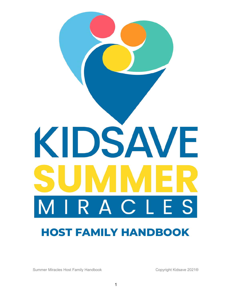

Summer Miracles Host Family Handbook Copyright Kidsave 2021®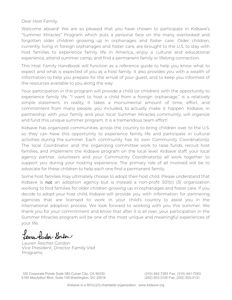Dear Host Family,

Welcome aboard! We are so pleased that you have chosen to participate in Kidsave's "Summer Miracles" Program which puts a personal face on the many overlooked and forgotten older children growing up in orphanages and foster care. Older children, currently living in foreign orphanages and foster care, are brought to the U.S. to stay with host families to experience family life in America, enjoy a cultural and educational experience, attend summer camp, and find a permanent family or lifelong connection.

This Host Family Handbook will function as a reference guide to help you know what to expect and what is expected of you as a host family. It also provides you with a wealth of information to help you prepare for the arrival of your guest, and to keep you informed of the resources available to you along the way.

Your participation in this program will provide a child (or children) with the opportunity to experience family life. "I want to host a child from a foreign orphanage," is a relatively simple statement. In reality, it takes a monumental amount of time, effort, and commitment from many people, you included, to actually make it happen. Kidsave, in partnership with your family and your local Summer Miracles community, will organize and fund this unique summer program. It is a tremendous team effort!

Kidsave has organized communities across the country to bring children over to the U.S. so they can have this opportunity to experience family life and participate in cultural activities during the summer. Each community has its own Community Coordinator(s). The local Coordinator and the organizing committee work to raise funds, recruit host families, and implement the Kidsave program on the local level. Kidsave staff, your local agency partner, volunteers and your Community Coordinator(s) all work together to support you during your hosting experience. The primary role of all involved will be to advocate for these children to help each one find a permanent family.

Some host families may ultimately choose to adopt their host child. Please understand that Kidsave is not an adoption agency but is instead a non-profit  $501(c)$  (3) organization working to find families for older children growing up in orphanages and foster care. If you decide to adopt your host child, Kidsave will provide you with information for partnering agencies that are licensed to work in your child's country to assist you in the international adoption process. We look forward to working with you this summer. We thank you for your commitment and know that after it is all over, your participation in the Summer Miracles program will be one of the most unique and meaningful experiences of your life.

Lauren feucher- Goulon

Lauren Reicher Gordon Vice President, Director Family Visit Programs

100 Corporate Pointe Suite 380 Culver City, CA 90230 5185 MacArthur Blvd. Suite 108 Washington, DC 20016

(310) 642-7283 Fax: (310) 641-7283 (202) 503-3100 Fax: (202) 503-3131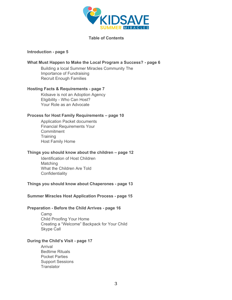

**Table of Contents** 

#### **Introduction - page 5**

#### **What Must Happen to Make the Local Program a Success? - page 6**

Building a local Summer Miracles Community The Importance of Fundraising Recruit Enough Families

#### **Hosting Facts & Requirements - page 7**

Kidsave is not an Adoption Agency Eligibility - Who Can Host? Your Role as an Advocate

#### **Process for Host Family Requirements – page 10**

Application Packet documents Financial Requirements Your **Commitment Training** Host Family Home

## **Things you should know about the children – page 12**

Identification of Host Children **Matching** What the Children Are Told **Confidentiality** 

#### **Things you should know about Chaperones - page 13**

#### **Summer Miracles Host Application Process - page 15**

#### **Preparation - Before the Child Arrives - page 16**

Camp Child Proofing Your Home Creating a "Welcome" Backpack for Your Child Skype Call

#### **During the Child's Visit - page 17**

Arrival Bedtime Rituals Pocket Parties Support Sessions **Translator**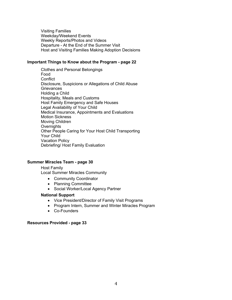Visiting Families Weekday/Weekend Events Weekly Reports/Photos and Videos Departure - At the End of the Summer Visit Host and Visiting Families Making Adoption Decisions

#### **Important Things to Know about the Program - page 22**

Clothes and Personal Belongings Food **Conflict** Disclosure, Suspicions or Allegations of Child Abuse **Grievances** Holding a Child Hospitality, Meals and Customs Host Family Emergency and Safe Houses Legal Availability of Your Child Medical Insurance, Appointments and Evaluations Motion Sickness Moving Children **Overnights** Other People Caring for Your Host Child Transporting Your Child Vacation Policy Debriefing/ Host Family Evaluation

#### **Summer Miracles Team - page 30**

Host Family Local Summer Miracles Community

- Community Coordinator
- Planning Committee
- Social Worker/Local Agency Partner

#### **National Support**

- Vice President/Director of Family Visit Programs
- Program Intern, Summer and Winter Miracles Program
- Co-Founders

#### **Resources Provided - page 33**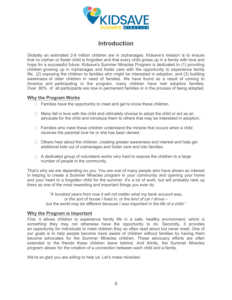

# **Introduction**

Globally an estimated 2-8 million children are in orphanages. Kidsave's mission is to ensure that no orphan or foster child is forgotten and that every child grows up in a family with love and hope for a successful future. Kidsave's Summer Miracles Program is dedicated to (1) providing children growing up in orphanages and foster care with the opportunity to experience family life, (2) exposing the children to families who might be interested in adoption, and (3) building awareness of older children in need of families. We have found as a result of coming to America and participating in the program, many children have met adoptive families. Over 80% of all participants are now in permanent families or in the process of being adopted.

# **Why the Program Works**

- $\Box$  Families have the opportunity to meet and get to know these children.
- $\Box$  Many fall in love with the child and ultimately choose to adopt the child or act as an advocate for the child and introduce them to others that may be interested in adoption.
- $\Box$  Families who meet these children understand the miracle that occurs when a child receives the parental love he or she has been denied.
- $\Box$  Others hear about the children, creating greater awareness and interest and help get additional kids out of orphanages and foster care and into families.
- $\Box$  A dedicated group of volunteers works very hard to expose the children to a large number of people in the community.

That's why we are depending on you. You are one of many people who have shown an interest in helping to create a Summer Miracles program in your community and opening your home and your heart to a forgotten child for the summer. It's a lot of work, but will probably rank up there as one of the most rewarding and important things you ever do.

> *"A hundred years from now it will not matter what my bank account was, or the sort of house I lived in, or the kind of car I drove – but the world may be different because I was important in the life of a child."*

## **Why the Program is Important**

First, it allows children to experience family life in a safe, healthy environment, which is something they may not otherwise have the opportunity to do. Secondly, it provides an opportunity for individuals to meet children they so often read about but never meet. One of our goals is to help people become more aware of children without families by having them become advocates for the Summer Miracles children. These advocacy efforts are often extended to the friends these children leave behind. And thirdly, the Summer Miracles program allows for the creation of a connection between each child and a family.

We're so glad you are willing to help us. Let's make miracles!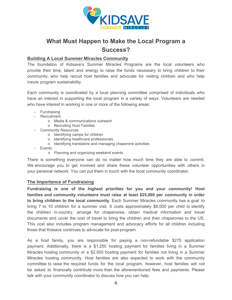

# **What Must Happen to Make the Local Program a Success?**

# **Building A Local Summer Miracles Community**

The foundation of Kidsave's Summer Miracles Programs are the local volunteers who provide their time, talent and energy to raise the funds necessary to bring children to their community, who help recruit host families and advocate for visiting children and who help insure program sustainability.

Each community is coordinated by a local planning committee comprised of individuals who have an interest in supporting the local program in a variety of ways. Volunteers are needed who have interest in working in one or more of the following areas:

- Fundraising
- Recruitment
	- o Media & communications outreach
	- o Recruiting Host Families
- Community Resources
	- o Identifying camps for children
	- o Identifying healthcare professionals
	- o Identifying translators and managing chaperone activities
- Events
	- o Planning and organizing weekend events

There is something everyone can do no matter how much time they are able to commit. We encourage you to get involved and share these volunteer opportunities with others in your personal network. You can put them in touch with the local community coordinator.

# **The Importance of Fundraising**

**Fundraising is one of the highest priorities for you and your community! Host families and community volunteers must raise at least \$25,000 per community in order to bring children to the local community.** Each Summer Miracles community has a goal to bring 7 to 10 children for a summer visit. It costs approximately \$8,000 per child to identify the children in-country, arrange for chaperones, obtain medical information and travel documents and cover the cost of travel to bring the children and their chaperones to the US. This cost also includes program management and advocacy efforts for all children including those that Kidsave continues to advocate for post-program.

As a host family, you are responsible for paying a non-refundable \$275 application payment. Additionally, there is a \$1,250 hosting payment for families living in a Summer Miracles hosting community or a \$2,500 hosting payment for families not living in a Summer Miracles hosting community. Host families are also expected to work with the community committee to raise the required funds for the local program, however, host families will not be asked to financially contribute more than the aforementioned fees and payments. Please talk with your community coordinator to discuss how you can help.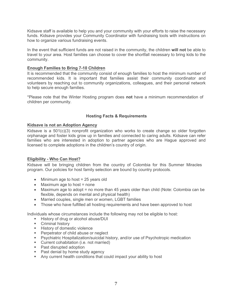Kidsave staff is available to help you and your community with your efforts to raise the necessary funds. Kidsave provides your Community Coordinator with fundraising tools with instructions on how to organize various fundraising events.

In the event that sufficient funds are not raised in the community, the children **will not** be able to travel to your area. Host families can choose to cover the shortfall necessary to bring kids to the community.

#### **Enough Families to Bring 7-10 Children**

It is recommended that the community consist of enough families to host the minimum number of recommended kids. It is important that families assist their community coordinator and volunteers by reaching out to community organizations, colleagues, and their personal network to help secure enough families.

\*Please note that the Winter Hosting program does **not** have a minimum recommendation of children per community.

#### **Hosting Facts & Requirements**

#### **Kidsave is not an Adoption Agency**

Kidsave is a 501(c)(3) nonprofit organization who works to create change so older forgotten orphanage and foster kids grow up in families and connected to caring adults. Kidsave can refer families who are interested in adoption to partner agencies who are Hague approved and licensed to complete adoptions in the children's country of origin.

#### **Eligibility - Who Can Host?**

Kidsave will be bringing children from the country of Colombia for this Summer Miracles program. Our policies for host family selection are bound by country protocols.

- Minimum age to host = 25 years old
- $\bullet$  Maximum age to host = none
- Maximum age to adopt = no more than 45 years older than child (Note: Colombia can be flexible, depends on mental and physical health)
- Married couples, single men or women, LGBT families
- Those who have fulfilled all hosting requirements and have been approved to host

Individuals whose circumstances include the following may not be eligible to host:

- History of drug or alcohol abuse/DUI
- **Criminal history**
- **History of domestic violence**
- **Perpetrator of child abuse or neglect**
- Psychiatric Hospitalization/suicidal history, and/or use of Psychotropic medication
- **Current cohabitation (i.e. not married)**
- Past disrupted adoption
- Past denial by home study agency
- Any current health conditions that could impact your ability to host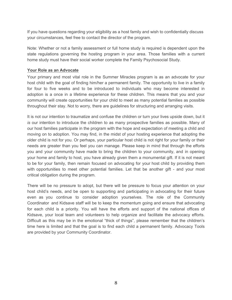If you have questions regarding your eligibility as a host family and wish to confidentially discuss your circumstances, feel free to contact the director of the program.

Note: Whether or not a family assessment or full home study is required is dependent upon the state regulations governing the hosting program in your area. Those families with a current home study must have their social worker complete the Family Psychosocial Study.

## **Your Role as an Advocate**

Your primary and most vital role in the Summer Miracles program is as an advocate for your host child with the goal of finding him/her a permanent family. The opportunity to live in a family for four to five weeks and to be introduced to individuals who may become interested in adoption is a once in a lifetime experience for these children. This means that you and your community will create opportunities for your child to meet as many potential families as possible throughout their stay. Not to worry, there are guidelines for structuring and arranging visits.

It is not our intention to traumatize and confuse the children or turn your lives upside down, but it *is* our intention to introduce the children to as many prospective families as possible. Many of our host families participate in the program with the hope and expectation of meeting a child and moving on to adoption. You may find, in the midst of your hosting experience that adopting the older child is not for you. Or perhaps, your particular host child is not right for your family or their needs are greater than you feel you can manage. Please keep in mind that through the efforts you and your community have made to bring the children to your community, and in opening your home and family to host, you have already given them a monumental gift. If it is not meant to be for your family, then remain focused on advocating for your host child by providing them with opportunities to meet other potential families. Let that be another gift - and your most critical obligation during the program.

There will be no pressure to adopt, but there will be pressure to focus your attention on your host child's needs, and be open to supporting and participating in advocating for their future even as you continue to consider adoption yourselves. The role of the Community Coordinator and Kidsave staff will be to keep the momentum going and ensure that advocating for each child is a priority. You will have the efforts and support of the national offices of Kidsave, your local team and volunteers to help organize and facilitate the advocacy efforts. Difficult as this may be in the emotional "thick of things", please remember that the children's time here is limited and that the goal is to find each child a permanent family. Advocacy Tools are provided by your Community Coordinator.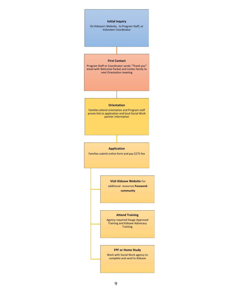

9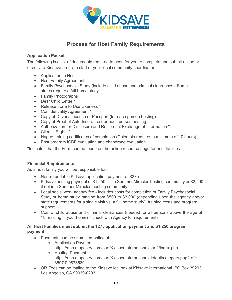

# **Process for Host Family Requirements**

# **Application Packet**

The following is a list of documents required to host, for you to complete and submit online or directly to Kidsave program staff or your local community coordinator.

- Application to Host
- Host Family Agreement
- Family Psychosocial Study (include child abuse and criminal clearances). Some states require a full home study.
- Family Photographs
- Dear Child Letter \*
- Release Form to Use Likeness \*
- Confidentiality Agreement \*
- Copy of Driver's License or Passport (for each person hosting)
- Copy of Proof of Auto Insurance (for each person hosting)
- Authorization for Disclosure and Reciprocal Exchange of Information \*
- Client's Rights \*
- Hague training certificates of completion (Colombia requires a minimum of 10 hours)
- Post program ICBF evaluation and chaperone evaluation

\*Indicates that the Form can be found on the online resource page for host families.

# **Financial Requirements**

As a host family you will be responsible for:

- Non-refundable Kidsave application payment of \$275
- Kidsave hosting payment of \$1,250 if in a Summer Miracles hosting community or \$2,500 if not in a Summer Miracles hosting community.
- Local social work agency fee includes costs for completion of Family Psychosocial Study or home study ranging from \$500 to \$3,000 (depending upon the agency and/or state requirements for a single visit vs. a full home study), training costs and program support.
- Cost of child abuse and criminal clearances (needed for all persons above the age of 18 residing in your home) – check with Agency for requirements

# **All Host Fam[ilies must submit the \\$275 application payment and \\$1,250 program](https://app.etapestry.com/cart/KidsaveInternational/cart2/index.php) payment.**

- [Payments can be submitted online at:](https://app.etapestry.com/cart/KidsaveInternational/default/category.php?ref=3597.0.98785301)
	- o [Application Payme](https://app.etapestry.com/cart/KidsaveInternational/default/category.php?ref=3597.0.98785301)nt: https://app.etapestry.com/cart/KidsaveInternational/cart2/index.php.
	- o Hosting Payment: https://app.etapestry.com/cart/KidsaveInternational/default/category.php?ref= 3597.0.98785301
- OR Fees can be mailed to the Kidsave lockbox at Kidsave International, PO Box 39293, Los Angeles, CA 90039-0293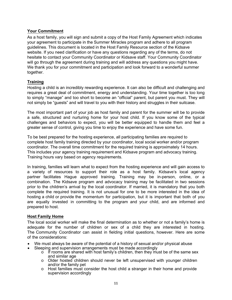# **Your Commitment**

As a host family, you will sign and submit a copy of the Host Family Agreement which indicates your agreement to participate in the Summer Miracles program and adhere to all program guidelines. This document is located in the Host Family Resource section of the Kidsave website. If you need clarification or have any questions regarding any of the terms, do not hesitate to contact your Community Coordinator or Kidsave staff. Your Community Coordinator will go through the agreement during training and will address any questions you might have. We thank you for your commitment and participation and look forward to a wonderful summer together.

## **Training**

Hosting a child is an incredibly rewarding experience. It can also be difficult and challenging and requires a great deal of commitment, energy and understanding. Your time together is too long to simply "manage" and too short to become an "official" parent, but parent you must. They will not simply be "guests" and will travel to you with their history and struggles in their suitcase.

The most important part of your job as host family and parent for the summer will be to provide a safe, structured and nurturing home for your host child. If you know some of the typical challenges and behaviors to expect, you will be better equipped to handle them and feel a greater sense of control, giving you time to enjoy the experience and have some fun.

To be best prepared for the hosting experience, all participating families are required to complete host family training directed by your coordinator, local social worker and/or program coordinator. The overall time commitment for the required training is approximately 14 hours. This includes your agency training requirement and Kidsave program and advocacy training. Training hours vary based on agency requirements.

In training, families will learn what to expect from the hosting experience and will gain access to a variety of resources to support their role as a host family. Kidsave's local agency partner facilitates Hague approved training. Training may be in-person, online, or a combination. The Kidsave program and advocacy training may be facilitated in two sessions prior to the children's arrival by the local coordinator. If married, it is mandatory that you both complete the required training. It is not unusual for one to be more interested in the idea of hosting a child or provide the momentum for participation, but it is important that both of you are equally invested in committing to the program and your child, and are informed and prepared to host.

## **Host Family Home**

The local social worker will make the final determination as to whether or not a family's home is adequate for the number of children or sex of a child they are interested in hosting. The Community Coordinator can assist in fielding initial questions, however. Here are some of the considerations:

- We must always be aware of the potential of a history of sexual and/or physical abuse
	- Sleeping and supervision arrangements must be made accordingly
		- $\circ$  If rooms are shared with host family's children, then they must be of the same sex and similar age
		- o Older hosted children should never be left unsupervised with younger children and/or the family pet
		- $\circ$  Host families must consider the host child a stranger in their home and provide supervision accordingly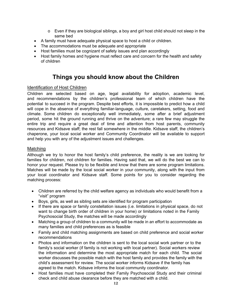- o Even if they are biological siblings, a boy and girl host child should not sleep in the same bed
- A family must have adequate physical space to host a child or children.
- The accommodations must be adequate and appropriate
- Host families must be cognizant of safety issues and plan accordingly
- Host family homes and hygiene must reflect care and concern for the health and safety of children

# **Things you should know about the Children**

## Identification of Host Children

Children are selected based on age, legal availability for adoption, academic level, and recommendations by the children's professional team of which children have the potential to succeed in the program. Despite best efforts, it is impossible to predict how a child will cope in the absence of everything familiar-language, culture, caretakers, setting, food and climate. Some children do exceptionally well immediately, some after a brief adjustment period, some hit the ground running and thrive on the adventure; a rare few may struggle the entire trip and require a great deal of time and attention from host parents, community resources and Kidsave staff; the rest fall somewhere in the middle. Kidsave staff, the children's chaperone, your local social worker and Community Coordinator will be available to support and help you with any of the adjustment issues and challenges.

## Matching

Although we try to honor the host family's child preference, the reality is we are looking for families for children, not children for families. Having said that, we will do the best we can to honor your request. Please try to be flexible and know that there are some program limitations. Matches will be made by the local social worker in your community, along with the input from your local coordinator and Kidsave staff. Some points for you to consider regarding the matching process:

- Children are referred by the child welfare agency as individuals who would benefit from a "visit" program
- Boys, girls, as well as sibling sets are identified for program participation
- If there are space or family constellation issues (i.e. limitations in physical space, do not want to change birth order of children in your home) or limitations noted in the Family Psychosocial Study, the matches will be made accordingly
- Matching a group of children to a community will be made in an effort to accommodate as many families and child preferences as is feasible
- Family and child matching assignments are based on child preference and social worker recommendations
- Photos and information on the children is sent to the local social work partner or to the family's social worker (if family is not working with local partner). Social workers review the information and determine the most appropriate match for each child. The social worker discusses the possible match with the host family and provides the family with the child's assessment for review. The social worker informs Kidsave if the family has agreed to the match. Kidsave informs the local community coordinator.
- Host families must have completed their Family Psychosocial Study and their criminal check and child abuse clearance before they are matched with a child.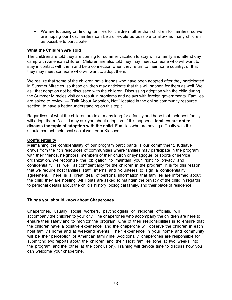• We are focusing on finding families for children rather than children for families, so we are hoping our host families can be as flexible as possible to allow as many children as possible to participate

#### **What the Children Are Told**

The children are told they are coming for summer vacation to stay with a family and attend day camp with American children. Children are also told they may meet someone who will want to stay in contact with them and be a connection when they return to their home country, or that they may meet someone who will want to adopt them.

We realize that some of the children have friends who have been adopted after they participated in Summer Miracles, so these children may anticipate that this will happen for them as well. We ask that adoption not be discussed with the children. Discussing adoption with the child during the Summer Miracles visit can result in problems and delays with foreign governments. Families are asked to review ― "Talk About Adoption, Not!" located in the online community resource section, to have a better understanding on this topic.

Regardless of what the children are told, many long for a family and hope that their host family will adopt them. A child may ask you about adoption. If this happens**, families are not to discuss the topic of adoption with the child**. Families who are having difficulty with this should contact their local social worker or Kidsave.

#### **Confidentiality**

Maintaining the confidentiality of our program participants is our commitment. Kidsave draws from the rich resources of communities where families may participate in the program with their friends, neighbors, members of their church or synagogue, or sports or service organization. We recognize the obligation to maintain your right to privacy and confidentiality, as well as confidentiality for the children in the program. It is for this reason that we require host families, staff, interns and volunteers to sign a confidentiality agreement. There is a great deal of personal information that families are informed about the child they are hosting. All Hosts are asked to maintain the privacy of the child in regards to personal details about the child's history, biological family, and their place of residence.

#### **Things you should know about Chaperones**

Chaperones, usually social workers, psychologists or regional officials, will accompany the children to your city. The chaperones who accompany the children are here to ensure their safety and to monitor the program. One of their responsibilities is to ensure that the children have a positive experience, and the chaperone will observe the children in each host family's home and at weekend events. Their experience in your home and community will be their perception of American family life. Additionally, chaperones are responsible for submitting two reports about the children and their Host families (one at two weeks into the program and the other at the conclusion). Training will devote time to discuss how you can welcome your chaperone.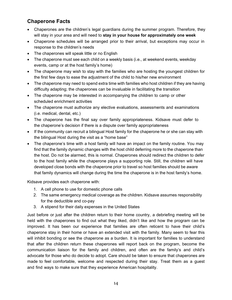# **Chaperone Facts**

- Chaperones are the children's legal guardians during the summer program. Therefore, they will stay in your area and will need to **stay in your house for approximately one week**
- Chaperone schedules will be arranged prior to their arrival, but exceptions may occur in response to the children's needs
- The chaperones will speak little or no English
- The chaperone must see each child on a weekly basis (i.e., at weekend events, weekday events, camp or at the host family's home)
- The chaperone may wish to stay with the families who are hosting the youngest children for the first few days to ease the adjustment of the child to his/her new environment
- The chaperone may need to spend extra time with families who host children if they are having difficulty adapting; the chaperones can be invaluable in facilitating the transition
- The chaperone may be interested in accompanying the children to camp or other scheduled enrichment activities
- The chaperone must authorize any elective evaluations, assessments and examinations (i.e. medical, dental, etc.)
- The chaperone has the final say over family appropriateness. Kidsave must defer to the chaperone's decision if there is a dispute over family appropriateness
- If the community can recruit a bilingual Host family for the chaperone he or she can stay with the bilingual Host during the visit as a "home base"
- The chaperone's time with a host family will have an impact on the family routine. You may find that the family dynamic changes with the host child deferring more to the chaperone than the host. Do not be alarmed, this is normal. Chaperones should redirect the children to defer to the host family while the chaperone plays a supporting role. Still, the children will have developed close bonds with the chaperone prior to travel so host families should be aware that family dynamics will change during the time the chaperone is in the host family's home.

Kidsave provides each chaperone with:

- 1. A cell phone to use for domestic phone calls
- 2. The same emergency medical coverage as the children. Kidsave assumes responsibility for the deductible and co-pay
- 3. A stipend for their daily expenses in the United States

Just before or just after the children return to their home country, a debriefing meeting will be held with the chaperones to find out what they liked, didn't like and how the program can be improved. It has been our experience that families are often reticent to have their child's chaperone stay in their home or have an extended visit with the family. Many seem to fear this will inhibit bonding or see the chaperone as a burden. It is important for families to understand that after the children return these chaperones will report back on the program, become the communication liaison for the family and children, and often are the family's and child's advocate for those who do decide to adopt. Care should be taken to ensure that chaperones are made to feel comfortable, welcome and respected during their stay. Treat them as a guest and find ways to make sure that they experience American hospitality.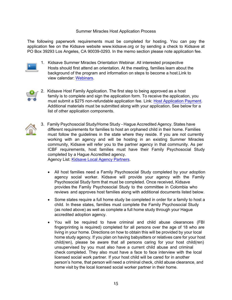#### Summer Miracles Host Application Process

The following paperwork requirements must be completed for hosting. You can pay the application fee on the Kidsave website www.kidsave.org or by sending a check to Kidsave at PO Box 39293 Los Angeles, CA 90039-0293. In the memo section please note application fee.



1. Kidsave Summer Miracles Orientation Webinar. All interested prospective Hosts should first attend an orientation. At the meeting, families learn about the background of the program and information on steps to become a host.Link to view calendar: [Webinars.](http://www.kidsave.org/webinars/)



2. Kidsave Host Family Application. The first step to being approved as a host family is to complete and sign the application form. To receive the application, you must submit a \$275 non-refundable application fee. Link: [Host Application Payment.](https://app.etapestry.com/cart/KidsaveInternational/cart2/index.php) Additional materials must be submitted along with your application. See below for a list of other application components.



3. Family Psychosocial Study/Home Study - Hague Accredited Agency. States have different requirements for families to host an orphaned child in their home. Families must follow the guidelines in the state where they reside. If you are not currently working with an agency and will be hosting in an existing Summer Miracles community, Kidsave will refer you to the partner agency in that community. As per ICBF requirements, host families must have their Family Psychosocial Study completed by a Hague Accredited agency.

Agency List: [Kidsave Local Agency Partners.](http://www.kidsave.org/kidsave-agencies/)

- All host families need a Family Psychosocial Study completed by your adoption agency social worker. Kidsave will provide your agency with the Family Psychosocial Study form that must be completed. Once received, Kidsave provides the Family Psychosocial Study to the committee in Colombia who reviews and approves host families along with additional documents listed below.
- Some states require a full home study be completed in order for a family to host a child. In these states, families must complete the Family Psychosocial Study (as noted above) as well as complete a full home study through your Hague accredited adoption agency.
- You will be required to have criminal and child abuse clearances (FBI fingerprinting is required) completed for all persons over the age of 18 who are living in your home. Directions on how to obtain this will be provided by your local home study agency. If you plan on having babysitters or relatives care for your host child(ren), please be aware that all persons caring for your host child(ren) unsupervised by you must also have a current child abuse and criminal check completed. They also must have a face to face interview with the local licensed social work partner. If your host child will be cared for in another person's home, that person will need a criminal check, child abuse clearance, and home visit by the local licensed social worker partner in their home.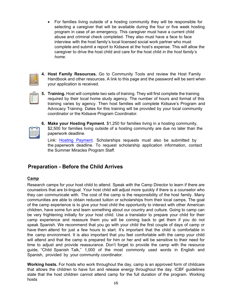• For families living outside of a hosting community they will be responsible for selecting a caregiver that will be available during the four or five week hosting program in case of an emergency. This caregiver must have a current child abuse and criminal check completed. They also must have a face to face interview with the host family's local licensed social work partner who must complete and submit a report to Kidsave at the host's expense. This will allow the caregiver to drive the host child and care for the host child *in the host family's home.*



**4. Host Family Resources.** Go to Community Tools and review the Host Family Handbook and other resources. A link to this page and the password will be sent when your application is received.

- 
- **5. Training.** Host will complete two sets of training. They will first complete the training required by their local home study agency. The number of hours and format of this training varies by agency. Then host families will complete Kidsave's Program and Advocacy Training. Dates for this training will be provided by your local community coordinator or the Kidsave Program Coordinator.



**6. Make your Hosting Payment.** \$1,250 for families living in a hosting community, \$2,500 for families living outside of a hosting community are due no later than the paperwork deadline.

Link: [Hosting Payment.](https://app.etapestry.com/cart/KidsaveInternational/default/category.php?ref=3597.0.98785301) Scholarships requests must also be submitted by the paperwork deadline. To request scholarship application information, contact the Summer Miracles Program Staff.

# **Preparation - Before the Child Arrives**

# **Camp**

Research camps for your host child to attend. Speak with the Camp Director to learn if there are counselors that are bi-lingual. Your host child will adjust more quickly if there is a counselor who they can communicate with. The cost of the camp is the responsibility of the host family. Many communities are able to obtain reduced tuition or scholarships from their local camps. The goal of the camp experience is to give your host child the opportunity to interact with other American children, have some fun and learn something about our country and culture. Going to camp can be very frightening initially for your host child. Use a translator to prepare your child for their camp experience and reassure them you will be coming back to get them if you do not speak Spanish. We recommend that you go with your child the first couple of days of camp or have them attend for just a few hours to start. It's important that the child is comfortable in the camp environment. It is also important that you feel comfortable with the camp your child will attend and that the camp is prepared for him or her and will be sensitive to their need for time to adjust and provide reassurance. Don't forget to provide the camp with the resource guide, "Child Spanish Talk," 1,000 of the most commonly used words in English and Spanish, provided by your community coordinator.

**Working hosts.** For hosts who work throughout the day, camp is an approved form of childcare that allows the children to have fun and release energy throughout the day. ICBF guidelines state that the host children cannot attend camp for the full duration of the program. Working hosts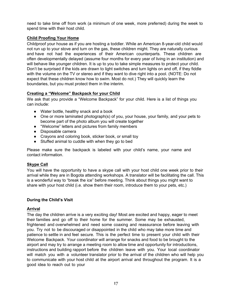need to take time off from work (a minimum of one week, more preferred) during the week to spend time with their host child.

## **Child Proofing Your Home**

Childproof your house as if you are hosting a toddler. While an American 8-year-old child would not run up to your stove and turn on the gas, these children might. They are naturally curious and have not had the experiences of their American counterparts. These children are often developmentally delayed (assume four months for every year of living in an institution) and will behave like younger children. It is up to you to take simple measures to protect your child. Don't be surprised if the kids are drawn to light switches and turn lights on and off, if they fiddle with the volume on the TV or stereo and if they want to dive right into a pool. (NOTE: Do not expect that these children know how to swim. Most do not.) They will quickly learn the boundaries, but you must protect them in the interim.

# **Creating a "Welcome" Backpack for your Child**

We ask that you provide a "Welcome Backpack" for your child. Here is a list of things you can include:

- Water bottle, healthy snack and a book
- One or more laminated photograph(s) of you, your house, your family, and your pets to become part of the photo album you will create together
- "Welcome" letters and pictures from family members
- Disposable camera
- Crayons and coloring book, sticker book, or small toy
- Stuffed animal to cuddle with when they go to bed

Please make sure the backpack is labeled with your child's name, your name and contact information.

## **Skype Call**

You will have the opportunity to have a skype call with your host child one week prior to their arrival while they are in Bogota attending workshops. A translator will be facilitating the call. This is a wonderful way to "break the ice" before meeting. Think about things you might want to share with your host child (i.e. show them their room, introduce them to your pets, etc.)

# **During the Child's Visit**

## **Arrival**

The day the children arrive is a very exciting day! Most are excited and happy, eager to meet their families and go off to their home for the summer. Some may be exhausted, frightened and overwhelmed and need some coaxing and reassurance before leaving with you. Try not to be discouraged or disappointed in the child who may take more time and patience to settle in and feel secure. This is the perfect time to present your child with their Welcome Backpack. Your coordinator will arrange for snacks and food to be brought to the airport and may try to arrange a meeting room to allow time and opportunity for introductions, instructions and building rapport before the children leave with you. Your local coordinator will match you with a volunteer translator prior to the arrival of the children who will help you to communicate with your host child at the airport arrival and throughout the program. It is a good idea to reach out to your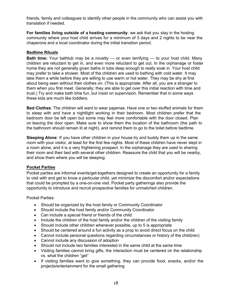friends, family and colleagues to identify other people in the community who can assist you with translation if needed.

**For families living outside of a hosting community**: we ask that you stay in the hosting community where your host child arrives for a minimum of 3 days and 2 nights to be near the chaperone and a local coordinator during the initial transition period.

## **Bedtime Rituals**

**Bath time:** Your bathtub may be a novelty — or even terrifying — to your host child. Many children are reluctant to get in, and even more reluctant to get out. In the orphanage or foster home they are not generally given baths in tubs deep enough to really soak in. Your host child may prefer to take a shower. Most of the children are used to bathing with cold water. It may take them a while before they are willing to use warm or hot water. They may be shy at first about being seen without their clothes on. (This is appropriate. After all, you are a stranger to them when you first meet. Generally; they are able to get over this initial reaction with time and trust.) Try and make bath time fun, but insist on supervision. Remember that in some ways these kids are much like toddlers.

**Bed Clothes**: The children will want to wear pajamas. Have one or two stuffed animals for them to sleep with and have a nightlight working in their bedroom. Most children prefer that the bedroom door be left open but some may feel more comfortable with the door closed. Plan on leaving the door open. Make sure to show them the location of the bathroom (the path to the bathroom should remain lit at night), and remind them to go to the toilet before bedtime.

**Sleeping Alone**: If you have other children in your house try and buddy them up in the same room with your visitor, at least for the first few nights. Most of these children have never slept in a room alone, and it is a very frightening prospect. In the orphanage they are used to sharing their room and their bed with several other children. Reassure the child that you will be nearby, and show them where you will be sleeping.

## **Pocket Parties**

Pocket parties are informal events/get-togethers designed to create an opportunity for a family to visit with and get to know a particular child, yet minimize the discomfort and/or expectations that could be prompted by a one-on-one visit. Pocket party gatherings also provide the opportunity to introduce and recruit prospective families for unmatched children.

Pocket Parties:

- Should be organized by the host family or Community Coordinator
- Should include the host family and/or Community Coordinator
- Can include a special friend or friends of the child
- Include the children of the host family and/or the children of the visiting family
- Should include other children whenever possible, up to 5 is appropriate
- Should be centered around a fun activity as a prop to avoid direct focus on the child
- Cannot include personal questions regarding circumstances or history of the child(ren)
- Cannot include any discussion of adoption
- Should not include two families interested in the same child at the same time
- Visiting families cannot bring gifts, the interaction must be centered on the relationship vs. what the children "get"
- If visiting families want to give something, they can provide food, snacks, and/or the projects/entertainment for the small gathering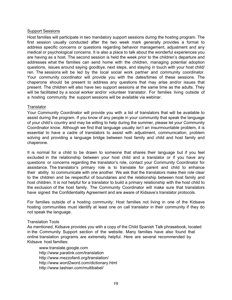#### Support Sessions

Host families will participate in two mandatory support sessions during the hosting program. The first session usually conducted after the two week mark generally provides a format to address specific concerns or questions regarding behavior management, adjustment and any medical or psychological concerns. It is also a place to talk about the wonderful experiences you are having as a host. The second session is held the week prior to the children's departure and addresses what the families can send home with the children, managing potential adoption questions, issues around saying goodbye, next steps, and staying in touch with your host child/ ren. The sessions will be led by the local social work partner and community coordinator. Your community coordinator will provide you with the dates/times of these sessions. The chaperone should be present to address any questions that may arise and/or issues that present. The children will also have two support sessions at the same time as the adults. They will be facilitated by a social worker and/or volunteer translator. For families living outside of a hosting community the support sessions will be available via webinar.

#### **Translator**

Your Community Coordinator will provide you with a list of translators that will be available to assist during the program. If you know of any people in your community that speak the language of your child's country and may be willing to help during the summer, please let your Community Coordinator know. Although we find that language usually isn't an insurmountable problem, it is essential to have a cadre of translators to assist with adjustment, communication, problem solving and providing a language bridge between host family and child and host family and chaperone.

It is normal for a child to be drawn to someone that shares their language but if you feel excluded in the relationship between your host child and a translator or if you have any questions or concerns regarding the translator's role, contact your Community Coordinator for assistance. The translator's primary role is to translate for parent and child to enhance their ability to communicate with one another. We ask that the translators make their role clear to the children and be respectful of boundaries and the relationship between host family and host children. It is not helpful for a translator to build a primary relationship with the host child to the exclusion of the host family. The Community Coordinator will make sure that translators have signed the Confidentiality Agreement and are aware of Kidsave's translator protocols.

For families outside of a hosting community: Host families not living in one of the Kidsave hosting communities must identify at least one on call translator in their community if they do not speak the language.

#### Translation Tools

As mentioned, Kidsave provides you with a copy of the Child Spanish Talk phrasebook, located in the Community Support section of the website. Many families have also found that online translation programs are extremely helpful. Here are several recommended by Kidsav[e host familie](http://www/)s:

[www.translate](http://www/).google.com [http://www.pa](http://www/)ralink.com/translation [http://www.mezzofanti.org/translation/](http://www.tashian.com/multibabel/)  http://www.word2word.com/dictionary.html http://www.tashian.com/multibabel/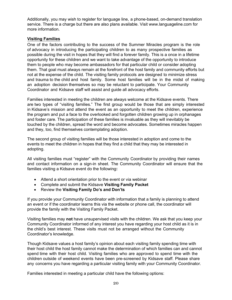Additionally, you may wish to register for language line, a phone-based, on-demand translation service. There is a charge but there are also plans available. Visit [www.languageline.com](http://www.languageline.com/) for more information.

## **Visiting Families**

One of the factors contributing to the success of the Summer Miracles program is the role of advocacy in introducing the participating children to as many prospective families as possible during the visit in hopes that they will find a forever family. This is a once in a lifetime opportunity for these children and we want to take advantage of the opportunity to introduce them to people who may become ambassadors for that particular child or consider adopting them. That goal must always remain at the forefront of the host family and community efforts but not at the expense of the child. The visiting family protocols are designed to minimize stress and trauma to the child and host family. Some host families will be in the midst of making an adoption decision themselves so may be reluctant to participate. Your Community Coordinator and Kidsave staff will assist and guide all advocacy efforts.

Families interested in meeting the children are always welcome at the Kidsave events. There are two types of "visiting families." The first group would be those that are simply interested in Kidsave's mission and attend the event as an opportunity to meet the children, experience the program and put a face to the overlooked and forgotten children growing up in orphanages and foster care. The participation of these families is invaluable as they will inevitably be touched by the children, spread the word and become advocates. Sometimes miracles happen and they, too, find themselves contemplating adoption.

The second group of visiting families will be those interested in adoption and come to the events to meet the children in hopes that they find a child that they may be interested in adopting.

All visiting families must "register" with the Community Coordinator by providing their names and contact information on a sign-in sheet. The Community Coordinator will ensure that the families visiting a Kidsave event do the following**:**

- Attend a short orientation prior to the event or via webinar
- Complete and submit the Kidsave **Visiting Family Packet**
- Review the **Visiting Family Do's and Don'ts**

If you provide your Community Coordinator with information that a family is planning to attend an event or if the coordinator learns this via the website or phone call, the coordinator will provide the family with the Visiting Family Packet.

Visiting families may **not** have unsupervised visits with the children. We ask that you keep your Community Coordinator informed of any interest you have regarding your host child as it is in the child's best interest. These visits must not be arranged without the Community Coordinator's knowledge.

Though Kidsave values a host family's opinion about each visiting family spending time with their host child the host family cannot make the determination of which families can and cannot spend time with their host child. Visiting families who are approved to spend time with the children outside of weekend events have been pre-screened by Kidsave staff. Please share any concerns you have regarding a particular visiting family with your Community Coordinator.

Families interested in meeting a particular child have the following options: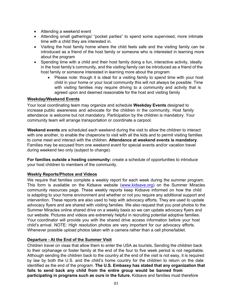- Attending a weekend event
- Attending small gatherings/ "pocket parties" to spend some supervised, more intimate time with a child they are interested in.
- Visiting the host family home where the child feels safe and the visiting family can be introduced as a friend of the host family or someone who is interested in learning more about the program
- Spending time with a child and their host family doing a fun, interactive activity, ideally in the host family's community, and the visiting family can be introduced as a friend of the host family or someone interested in learning more about the program
	- Please note: though it is ideal for a visiting family to spend time with your host child in your home or your local community this will not always be possible. Time with visiting families may require driving to a community and activity that is agreed upon and deemed reasonable for the host and visiting family

#### **Weekday/Weekend Events**

Your local coordinating team may organize and schedule **Weekday Events** designed to increase public awareness and advocate for the children in the community. Host family attendance is welcome but not mandatory. Participation by the children is mandatory. Your community team will arrange transportation or coordinate a carpool.

**Weekend events** are scheduled each weekend during the visit to allow the children to interact with one another, to enable the chaperone to visit with all the kids and to permit visiting families to come meet and interact with the children. **Attendance at weekend events is mandatory**. Families may be excused from one weekend event for special events and/or vacation travel during weekend two only (subject to change).

**For families outside a hosting community:** create a schedule of opportunities to introduce your host children to members of the community.

## **Weekly Reports/Photos and Videos**

We require that families complete a weekly report for each week during the summer program. This form is available on the Kidsave website [\(www.kidsave.org\)](http://www.kidsave.org/) on the Summer Miracles community resources page. These weekly reports keep Kidsave informed on how the child is adapting to your home environment and whether or not you require any additional support and intervention. These reports are also used to help with advocacy efforts. They are used to update advocacy flyers and are shared with visiting families. We also request that you post photos to the Summer Miracles online shared drive on a weekly basis so we can update advocacy flyers and our website. Pictures and videos are extremely helpful in recruiting potential adoptive families. Your coordinator will provide you with the shared drive access information before your host child's arrival. NOTE: High resolution photos are very important for our advocacy efforts. Whenever possible upload photos taken with a camera rather than a cell phone/tablet.

## **Departure - At the End of the Summer Visit**

Children travel on visas that allow them to enter the USA as tourists**.** Sending the children back to their orphanage or foster family at the end of the four to five week period is not negotiable. Although sending the children back to the country at the end of the visit is not easy, it is required by law by both the U.S. and the child's home country for the children to return on the date identified as the end of the program. **The U.S. Embassy has stated that any organization that fails to send back any child from the entire group would be banned from participating in programs such as ours in the future.** Kidsave and families must therefore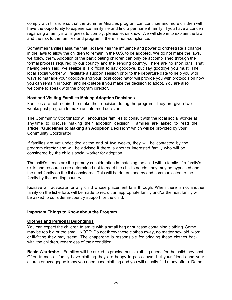comply with this rule so that the Summer Miracles program can continue and more children will have the opportunity to experience family life and find a permanent family. If you have a concern regarding a family's willingness to comply, please let us know. We will step in to explain the law and the risk to the families and program if there is non-compliance.

Sometimes families assume that Kidsave has the influence and power to orchestrate a change in the laws to allow the children to remain in the U.S. to be adopted. We do not make the laws, we follow them. Adoption of the participating children can only be accomplished through the formal process required by our country and the sending country. There are no short cuts. That having been said, we realize it is difficult to say goodbye, but say goodbye you must. The local social worker will facilitate a support session prior to the departure date to help you with ways to manage your goodbye and your local coordinator will provide you with protocols on how you can remain in touch, and next steps if you make the decision to adopt. You are also welcome to speak with the program director.

## **Host and Visiting Families Making Adoption Decisions**

Families are not required to make their decision during the program. They are given two weeks post program to make an informed decision.

The Community Coordinator will encourage families to consult with the local social worker at any time to discuss making their adoption decision. Families are asked to read the article, "**Guidelines to Making an Adoption Decision"** which will be provided by your Community Coordinator.

If families are yet undecided at the end of two weeks, they will be contacted by the program director and will be advised if there is another interested family who will be considered by the child's social worker for adoption.

The child's needs are the primary consideration in matching the child with a family. If a family's skills and resources are determined not to meet the child's needs, they may be bypassed and the next family on the list considered. This will be determined by and communicated to the family by the sending country.

Kidsave will advocate for any child whose placement falls through. When there is not another family on the list efforts will be made to recruit an appropriate family and/or the host family will be asked to consider in-country support for the child.

## **Important Things to Know about the Program**

#### **Clothes and Personal Belongings**

You can expect the children to arrive with a small bag or suitcase containing clothing. Some may be too big or too small. NOTE: Do not throw these clothes away, no matter how old, worn or ill-fitting they may seem. The chaperone is responsible for bringing these clothes back with the children, regardless of their condition.

**Basic Wardrobe** – Families will be asked to provide basic clothing needs for the child they host. Often friends or family have clothing they are happy to pass down. Let your friends and your church or synagogue know you need used clothing and you will usually find many offers. Do not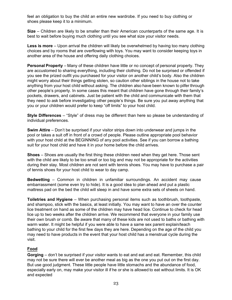feel an obligation to buy the child an entire new wardrobe. If you need to buy clothing or shoes please keep it to a minimum.

**Size** – Children are likely to be smaller than their American counterparts of the same age. It is best to wait before buying much clothing until you see what size your visitor needs.

**Less is more** – Upon arrival the children will likely be overwhelmed by having too many clothing choices and by rooms that are overflowing with toys. You may want to consider keeping toys in another area of the house and offering daily clothing choices.

**Personal Property** – Many of these children have little or no concept of personal property. They are accustomed to sharing everything, including their clothing. Do not be surprised or offended if you see the prized outfit you purchased for your visitor on another child's body. Also the children might worry about their things getting stolen, so caution other siblings in the house not to take anything from your host child without asking. The children also have been known to pilfer through other people's property. In some cases this meant that children have gone through their family's pockets, drawers, and cabinets. Just be patient with the child and communicate with them that they need to ask before investigating other people's things. Be sure you put away anything that you or your children would prefer to keep "off limits" to your host child.

**Style Differences** – "Style" of dress may be different than here so please be understanding of individual preferences.

**Swim Attire** – Don't be surprised if your visitor strips down into underwear and jumps in the pool or takes a suit off in front of a crowd of people. Please outline appropriate pool behavior with your host child at the BEGINNING of any pool activities. See if you can borrow a bathing suit for your host child and have it in your home before the child arrives.

**Shoes** – Shoes are usually the first thing these children need when they get here. Those sent with the child are likely to be too small or too big and may not be appropriate for the activities during their stay. Most children are not sent with tennis shoes. You may have to purchase a pair of tennis shoes for your host child to wear to day camp.

**Bedwetting** – Common in children in unfamiliar surroundings. An accident may cause embarrassment (some even try to hide). It is a good idea to plan ahead and put a plastic mattress pad on the bed the child will sleep in and have some extra sets of sheets on hand.

**Toiletries and Hygiene** – When purchasing personal items such as toothbrush, toothpaste, and shampoo, stick with the basics, at least initially. You may want to have an over the counter lice treatment on hand as some of the children may have head lice. Continue to check for head lice up to two weeks after the children arrive. We recommend that everyone in your family use their own brush or comb. Be aware that many of these kids are not used to baths or bathing with warm water. It might be helpful if you were able to have a same sex parent explain/teach bathing to your child for the first few days they are here. Depending on the age of the child you may need to have products in the event that your host child has a menstrual cycle during the visit.

# **Food**

**Gorging** – don't be surprised if your visitor wants to eat and eat and eat. Remember, this child may not be sure there will ever be another meal as big as the one you put out on the first day. But use good judgment. These little people have little stomachs and the abundance of food, especially early on, may make your visitor ill if he or she is allowed to eat without limits. It is OK and expected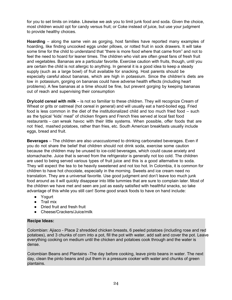for you to set limits on intake. Likewise we ask you to limit junk food and soda. Given the choice, most children would opt for candy versus fruit; or Coke instead of juice, but use your judgment to provide healthy choices.

**Hoarding** – along the same vein as gorging, host families have reported many examples of hoarding, like finding uncooked eggs under pillows, or rotted fruit in sock drawers. It will take some time for the child to understand that "there is more food where that came from" and not to feel the need to hoard for leaner times. The children who visit are often great fans of fresh fruit and vegetables. Bananas are a particular favorite. Exercise caution with fruits, though, until you are certain the child is not allergic to anything. In general it is a good idea to keep a steady supply (such as a large bowl) of fruit available for snacking. Host parents should be especially careful about bananas, which are high in potassium. Since the children's diets are low in potassium, gorging on bananas could have adverse health effects (including heart problems). A few bananas at a time should be fine, but prevent gorging by keeping bananas out of reach and supervising their consumption

**Dry/cold cereal with milk** – is not so familiar to these children. They will recognize Cream of Wheat or grits or oatmeal (hot cereal in general) and will usually eat a hard-boiled egg. Fried food is less common in the diet of the institutionalized child and too much fried food – such as the typical "kids' meal" of chicken fingers and French fries served at local fast food restaurants – can wreak havoc with their little systems. When possible, offer foods that are not fried, mashed potatoes, rather than fries, etc. South American breakfasts usually include eggs, bread and fruit.

**Beverages** – The children are also unaccustomed to drinking carbonated beverages. Even if you do not share the belief that children should not drink soda, exercise some caution because the children may be unused to ice-cold beverages, which could cause anxiety and stomachache. Juice that is served from the refrigerator is generally not too cold. The children are used to being served various types of fruit juice and this is a good alternative to soda. They will expect the tea to be heavily sweetened and not too hot. In Colombia, it is common for children to have hot chocolate, especially in the morning. Sweets and ice cream need no translation. They are a universal favorite. Use good judgment and don't leave too much junk food around as it will quickly disappear into little tummies that are sure to complain later. Most of the children we have met and seen are just as easily satisfied with healthful snacks, so take advantage of this while you still can! Some good snack foods to have on hand include:

- Yogurt
- Trail mix
- Dried fruit and fresh fruit
- Cheese/Crackers/Juice/milk

# **Recipe Ideas:**

Colombian: Ajiaco - Place 2 shredded chicken breasts, 6 peeled potatoes (including rose and red potatoes), and 3 chunks of corn into a pot, fill the pot with water, add salt and cover the pot. Leave everything cooking on medium until the chicken and potatoes cook through and the water is dense.

Colombian Beans and Plantains -The day before cooking, leave pinto beans in water. The next day, clean the pinto beans and put them in a pressure cooker with water and chunks of green plantains.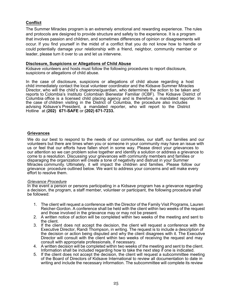# **Conflict**

The Summer Miracles program is an extremely emotional and rewarding experience. The rules and protocols are designed to provide structure and safety to the experience. It is a program that involves passion and children, and sometimes differences of opinion or disagreements will occur. If you find yourself in the midst of a conflict that you do not know how to handle or could potentially damage your relationship with a friend, neighbor, community member or leader, please turn it over to us and let us intervene.

#### **Disclosure, Suspicions or Allegations of Child Abuse**

Kidsave volunteers and hosts must follow the following procedures to report disclosure, suspicions or allegations of child abuse.

In the case of disclosure, suspicions or allegations of child abuse regarding a host child immediately contact the local volunteer coordinator and the Kidsave Summer Miracles Director, who will the child's chaperone/guardian, who determines the action to be taken and reports to Colombia's Instituto Colombian Bienestar Familiar (ICBF). The Kidsave District of Columbia office is a licensed child placing agency and is therefore, a mandated reporter. In the case of children visiting in the District of Columbia, the procedure also includes advising Kidsave's President, a mandated reporter, who will report to the District Hotline at **(202) 671-SAFE** or **(202) 671-7233.**

#### **Grievances**

We do our best to respond to the needs of our communities, our staff, our families and our volunteers but there are times when you or someone in your community may have an issue with us or feel that our efforts have fallen short in some way. Please direct your grievances to our attention so we can problem solve together and identify a solution or address a grievance to come to a resolution. Discussing your grievances with community members and families or disparaging the organization will create a tone of negativity and distrust in your Summer Miracles community. Ultimately, it will impact the children and families. Please follow our grievance procedure outlined below. We want to address your concerns and will make every effort to resolve them.

#### *Grievance Procedure*

In the event a person or persons participating in a Kidsave program has a grievance regarding a decision, the program, a staff member, volunteer or participant, the following procedure shall be followed:

- 1. The client will request a conference with the Director of the Family Visit Programs, Lauren Reicher-Gordon. A conference shall be held with the client within two weeks of the request and those involved in the grievance may or may not be present.
- 2. A written notice of action will be completed within two weeks of the meeting and sent to the client.
- 3. If the client does not accept the decision, the client will request a conference with the Executive Director, Randi Thompson, in writing. The request is to include a description of the decision or action being disputed and why the client disagrees with it. The Executive Director will consult with the client within two weeks of receiving the request and may consult with appropriate professionals, if necessary.
- 4. A written decision will be completed within two weeks of the meeting and sent to the client. Information shall be included regarding how to take the next step if one is indicated.
- 5. If the client does not accept the decision, the client will request a subcommittee meeting of the Board of Directors of Kidsave International to review all documentation to date in writing and include the necessary information. The subcommittee will complete its review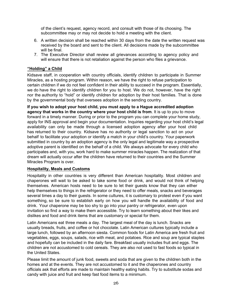of the client's request, agency record, and consult with those of its choosing. The subcommittee may or may not decide to hold a meeting with the client.

- 6. A written decision shall be reached within 30 days from the date the written request was received by the board and sent to the client. All decisions made by the subcommittee will be final.
- 7. The Executive Director shall review all grievances according to agency policy and will ensure that there is not retaliation against the person who files a grievance.

## **"Holding" a Child**

Kidsave staff, in cooperation with country officials, identify children to participate in Summer Miracles, as a hosting program. Within reason, we have the right to refuse participation to certain children if we do not feel confident in their ability to succeed in the program. Essentially, we do have the right to identify children for you to host. We do not, however, have the right nor the authority to "hold" or identify children for adoption by their host families. That is done by the governmental body that oversees adoption in the sending country.

**If you wish to adopt your host child, you must apply to a Hague accredited adoption agency that works in the country where your host child is from**. It is up to you to move forward in a timely manner. During or prior to the program you can complete your home study, apply for INS approval and begin your documentation. Inquiries regarding your host child's legal availability can only be made through a licensed adoption agency after your host child has returned to their country. Kidsave has no authority or legal sanction to act on your behalf to facilitate your adoption or identify a match in your child's country. Your paperwork submitted in country by an adoption agency is the only legal and legitimate way a prospective adoptive parent is identified on the behalf of a child. We always advocate for every child who participates and, with you, work hard to make summer miracles happen. The realization of that dream will actually occur after the children have returned to their countries and the Summer Miracles Program is over.

## **Hospitality, Meals and Customs**

Hospitality in other countries is very different than American hospitality. Most children and chaperones will wait to be asked to take some food or drink, and would not think of helping themselves. American hosts need to be sure to let their guests know that they can either help themselves to things in the refrigerator or they need to offer meals, snacks and beverages several times a day to their guests. In some cultures, it is customary to protest even if you want something, so be sure to establish early on how you will handle the availability of food and drink. Your chaperone may be too shy to go into your pantry or refrigerator, even upon invitation so find a way to make them accessible. Try to learn something about their likes and dislikes and food and drink items that are customary or special for them.

Latin Americans eat three meals a day. The largest meal of the day is lunch. Snacks are usually breads, fruits, and coffee or hot chocolate. Latin American cultures typically include a large lunch, followed by an afternoon siesta. Common foods for Latin America are fresh fruit and vegetables, eggs, soups, salads, rice with meat, and potatoes. Rice and soup are typical staples and hopefully can be included in the daily fare. Breakfast usually includes fruit and eggs. The children are not accustomed to cold cereals. They are also not used to fast foods so typical in the United States.

Please limit the amount of junk food, sweets and soda that are given to the children both in the homes and at the events. They are not accustomed to it and the chaperones and country officials ask that efforts are made to maintain healthy eating habits. Try to substitute sodas and candy with juice and fruit and keep fast food items to a minimum.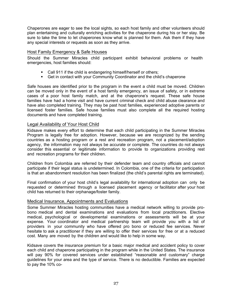Chaperones are eager to see the local sights, so each host family and other volunteers should plan entertaining and culturally enriching activities for the chaperone during his or her stay. Be sure to take the time to let chaperones know what is planned for them. Ask them if they have any special interests or requests as soon as they arrive.

## Host Family Emergency & Safe Houses

Should the Summer Miracles child participant exhibit behavioral problems or health emergencies, host families should:

- Call 911 if the child is endangering himself/herself or others;
- Get in contact with your Community Coordinator and the child's chaperone

Safe houses are identified prior to the program in the event a child must be moved. Children can be moved only in the event of a host family emergency, an issue of safety, or in extreme cases of a poor host family match, and at the chaperone's request. These safe house families have had a home visit and have current criminal check and child abuse clearance and have also completed training. They may be past host families, experienced adoptive parents or licensed foster families. Safe house families must also complete all the required hosting documents and have completed training.

## Legal Availability of Your Host Child

Kidsave makes every effort to determine that each child participating in the Summer Miracles Program is legally free for adoption. However, because we are recognized by the sending countries as a hosting program or a rest and recreation program, not a placement/adoption agency, the information may not always be accurate or complete. The countries do not always consider this essential or legitimate information to provide to organizations providing rest and recreation programs for their children.

Children from Colombia are referred by their defender team and country officials and cannot participate if their legal status is undetermined. In Colombia, one of the criteria for participation is that an abandonment resolution has been finalized (the child's parental rights are terminated).

Final confirmation of your host child's legal availability for international adoption can only be requested or determined through a licensed placement agency or facilitator after your host child has returned to their orphanage/foster family.

## Medical Insurance, Appointments and Evaluations

Some Summer Miracles hosting communities have a medical network willing to provide probono medical and dental examinations and evaluations from local practitioners. Elective medical, psychological or developmental examinations or assessments will be at your expense. Your coordinator and medical partnership team will provide you with a list of providers in your community who have offered pro bono or reduced fee services. Never hesitate to ask a practitioner if they are willing to offer their services for free or at a reduced cost. Many are moved by the children and would like to help in some way.

Kidsave covers the insurance premium for a basic major medical and accident policy to cover each child and chaperone participating in the program while in the United States. The insurance will pay 90% for covered services under established "reasonable and customary" charge guidelines for your area and the type of service. There is no deductible. Families are expected to pay the 10% co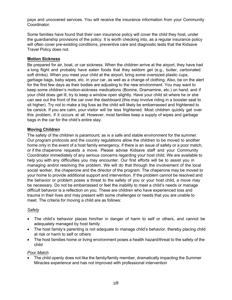pays and uncovered services. You will receive the insurance information from your Community Coordinator.

Some families have found that their own insurance policy will cover the child they host, under the guardianship provisions of the policy. It is worth checking into, as a regular insurance policy will often cover pre-existing conditions, preventive care and diagnostic tests that the Kidsave Travel Policy does not.

## **Motion Sickness**

Be prepared for air, boat, or car sickness. When the children arrive at the airport, they have had a long flight and probably have eaten foods that they seldom get (e.g., butter, carbonated soft drinks). When you meet your child at the airport, bring some oversized plastic cups, garbage bags, baby wipes, etc. in your car, as well as a change of clothing. Also, be on the alert for the first few days as their bodies are adjusting to the new environment. You may want to keep some children's motion-sickness medications (Bonine, Dramamine, etc.) on hand, and if your child does get ill, try to keep a window open slightly. Have your child sit where he or she can see out the front of the car over the dashboard (this may involve riding in a booster seat to sit higher). Try not to make a big fuss as the child will likely be embarrassed and frightened to be carsick. If you are calm, your visitor will be less frightened. Most children quickly get over this problem, if it occurs at all. However, most families keep a supply of wipes and garbage bags in the car for the child's entire stay.

# **Moving Children**

The safety of the children is paramount; as is a safe and stable environment for the summer. Our program protocols and the country regulations allow the children to be moved to another home only in the event of a host family emergency, if there is an issue of safety or a poor match, or if the chaperone requests a move. Please advise Kidsave staff and your Community Coordinator immediately of any serious concerns regarding your host child. We are available to help you with any difficulties you may encounter. Our first efforts will be to assist you in managing and/or resolving the problem. We will do that through the involvement of the local social worker, the chaperone and the director of the program. The chaperone may be moved to your home to provide additional support and intervention. If the problem cannot be resolved and the behavior or problem poses a threat to the safety of you or your host child, a move may be necessary. Do not be embarrassed or feel the inability to meet a child's needs or manage difficult behavior is a reflection on you. These are children who have experienced loss and trauma in their lives and may present with some challenges or needs that you are unable to meet. The criteria for moving a child are as follows:

## *Safety*

- The child's behavior places him/her in danger of harm to self or others, and cannot be adequately managed by host family
- The host family's parenting is not adequate to manage child's behavior, thereby placing child at risk or harm to self or others
- The host families home or living environment poses a health hazard/threat to the safety of the child

## *Poor Match*

• The child openly does not like the family/family member, dramatically impacting the Summer Miracles experience and has not improved with professional intervention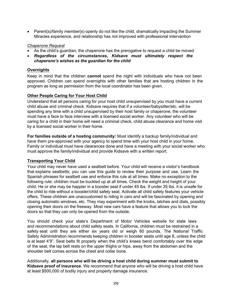• Parent(s)/family member(s) openly do not like the child, dramatically impacting the Summer Miracles experience, and relationship has not improved with professional intervention

#### *Chaperone Request*

- As the child's guardian, the chaperone has the prerogative to request a child be moved
- *Regardless of the circumstances, Kidsave must ultimately respect the chaperone's wishes as the guardian for the child*

## **Overnights**

Keep in mind that the children **cannot** spend the night with individuals who have not been approved. Children can spend overnights with other families that are hosting children in the program as long as permission from the local coordinator has been given.

## **Other People Caring for Your Host Child**

Understand that all persons caring for your host child unsupervised by you must have a current child abuse and criminal check. Kidsave requires that if a volunteer/babysitter/etc. will be spending any time with a child unsupervised by their host family or chaperone, the volunteer must have a face to face interview with a licensed social worker. Any volunteer who will be caring for a child in their home will need a criminal check, child abuse clearance and home visit by a licensed social worker in their home.

**For families outside of a hosting community:** Must identify a backup family/individual and have them pre-approved with your agency to spend time with your host child in your home. Family or individual must have clearances done and have a meeting with your social worker who must approve the family/individual and provide Kidsave with a written report.

## **Transporting Your Child**

Your child may never have used a seatbelt before. Your child will receive a visitor's handbook that explains seatbelts; you can use this guide to review their purpose and use. Learn the Spanish phrases for seatbelt use and enforce this rule at all times. Make no exception to the following rule: children must be buckled up at all times. Check the weight and height of your child. He or she may be happier in a booster seat if under 45 lbs. If under 35 lbs. it is unsafe for the child to ride without a booster/child safety seat. Activate all child safety features your vehicle offers. These children are unaccustomed to riding in cars and will be fascinated by opening and closing automatic windows, etc. They may experiment with the knobs, latches and dials, possibly opening their doors on the freeway. Most new cars have a feature that allows you to lock the doors so that they can only be opened from the outside.

You should check your state's Department of Motor Vehicles website for state laws and recommendations about child safety seats. In California, children must be restrained in a safety seat until they are either six years old or weigh 60 pounds. The National Traffic Safety Administration recommends keeping children in booster seats until age 8, unless the child is at least 4'9". Seat belts fit properly when the child's knees bend comfortably over the edge of the seat, the lap belt rests on the upper thighs or hips, away from the abdomen and the shoulder belt comes across the chest and collar bone.

Additionally, **all persons who will be driving a host child during summer must submit to Kidsave proof of insurance**. We recommend that anyone who will be driving a host child have at least \$500,000 of bodily injury and property damage insurance.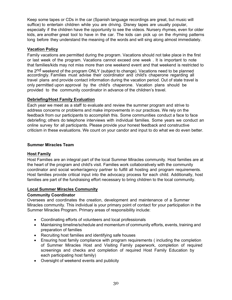Keep some tapes or CDs in the car (Spanish language recordings are great, but music will suffice) to entertain children while you are driving. Disney tapes are usually popular, especially if the children have the opportunity to see the videos. Nursery rhymes, even for older kids, are another great tool to have in the car. The kids can pick up on the rhyming patterns long before they understand the meaning of the words and will sing along almost immediately.

## **Vacation Policy**

Family vacations are permitted during the program. Vacations should not take place in the first or last week of the program. Vacations cannot exceed one week . It is important to note that families/kids may not miss more than one weekend event and that weekend is restricted to

the 2nd weekend of the program ONLY (subject to change). Vacations need to be planned accordingly. Families must advise their coordinator and child's chaperone regarding all travel plans and provide contact information during the vacation period. Out of state travel is only permitted upon approval by the child's chaperone. Vacation plans should be provided to the community coordinator in advance of the children's travel.

## **Debriefing/Host Family Evaluation**

Each year we meet as a staff to evaluate and review the summer program and strive to address concerns or problems and make improvements in our practices. We rely on the feedback from our participants to accomplish this. Some communities conduct a face to face debriefing; others do telephone interviews with individual families. Some years we conduct an online survey for all participants. Please provide your honest feedback and constructive criticism in these evaluations. We count on your candor and input to do what we do even better.

## **Summer Miracles Team**

## **Host Family**

Host Families are an integral part of the local Summer Miracles community. Host families are at the heart of the program and child's visit. Families work collaboratively with the community coordinator and social worker/agency partner to fulfill all hosting and program requirements. Host families provide critical input into the advocacy process for each child. Additionally, host families are part of the fundraising effort necessary to bring children to the local community.

## **Local Summer Miracles Community**

## **Community Coordinator**

Oversees and coordinates the creation, development and maintenance of a Summer Miracles community. This individual is your primary point of contact for your participation in the Summer Miracles Program. Primary areas of responsibility include:

- Coordinating efforts of volunteers and local professionals
- Maintaining timeline/schedule and momentum of community efforts, events, training and preparation of families
- Recruiting host families and identifying safe houses
- Ensuring host family compliance with program requirements (including the completion of Summer Miracles Host and Visiting Family paperwork, completion of required screenings and checks and completion of required Host Family Education by each participating host family)
- Oversight of weekend events and publicity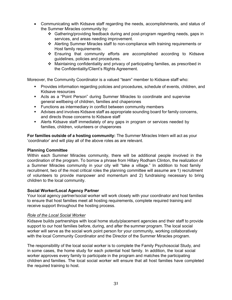- Communicating with Kidsave staff regarding the needs, accomplishments, and status of the Summer Miracles community by:
	- Gathering/providing feedback during and post-program regarding needs, gaps in services, and areas needing improvement.
	- Alerting Summer Miracles staff to non-compliance with training requirements or Host family requirements.
	- Ensuring that community efforts are accomplished according to Kidsave guidelines, policies and procedures.
	- Maintaining confidentiality and privacy of participating families, as prescribed in the Confidentiality/Client's Rights Agreement.

Moreover, the Community Coordinator is a valued "team" member to Kidsave staff who:

- Provides information regarding policies and procedures, schedule of events, children, and Kidsave resources
- Acts as a "Point Person" during Summer Miracles to coordinate and supervise general wellbeing of children, families and chaperones
- **Functions as intermediary in conflict between community members**
- Advises and involves Kidsave staff as appropriate sounding board for family concerns, and directs those concerns to Kidsave staff
- Alerts Kidsave staff immediately of any gaps in program or services needed by families, children, volunteers or chaperones

**For families outside of a hosting community:** The Summer Miracles Intern will act as your 'coordinator' and will play all of the above roles as are relevant.

#### **Planning Committee**

Within each Summer Miracles community, there will be additional people involved in the coordination of the program. To borrow a phrase from Hillary Rodham Clinton, the realization of a Summer Miracles community in your city will "take a village." In addition to host family recruitment, two of the most critical roles the planning committee will assume are 1) recruitment of volunteers to provide manpower and momentum and 2) fundraising necessary to bring children to the local community.

#### **Social Worker/Local Agency Partner**

Your local agency partner/social worker will work closely with your coordinator and host families to ensure that host families meet all hosting requirements, complete required training and receive support throughout the hosting process.

#### *Role of the Local Social Worker*

Kidsave builds partnerships with local home study/placement agencies and their staff to provide support to our host families before, during, and after the summer program. The local social worker will serve as the social work point person for your community, working collaboratively with the local Community Coordinator and the Director of the Summer Miracles program.

The responsibility of the local social worker is to complete the Family Psychosocial Study, and in some cases, the home study for each potential host family. In addition, the local social worker approves every family to participate in the program and matches the participating children and families. The local social worker will ensure that all host families have completed the required training to host.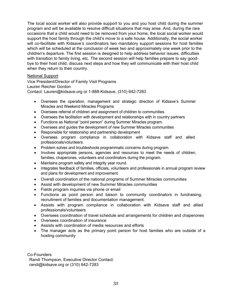The local social worker will also provide support to you and you host child during the summer program and will be available to resolve difficult situations that may arise. And, during the rare occasions that a child would need to be removed from your home, the local social worker would support the host family through the child's move to a safe house. Additionally, the social worker will co-facilitate with Kidsave's coordinators two mandatory support sessions for host families which will be scheduled at the conclusion of week two and approximately one week prior to the children's departure. The first session is designed to help address behavior issues, difficulties with transition to family living, etc. The second session will help families prepare to say goodbye to their host child, discuss next steps and how they will communicate with their host child when they return to their country.

## National Support

Vice President/Director of Family Visit Programs Lauren Reicher Gordon Contact: Lauren@kidsave.org or 1-888-Kidsave, (310) 642-7283

- Oversees the operation, management and strategic direction of Kidsave's Summer Miracles and Weekend Miracles Programs
- Oversees referral of children and assignment of children to communities.
- Oversees the facilitation with development and relationships with in country partners
- Functions as National "point person" during Summer Miracles program.
- Oversees and guides the development of new Summer Miracles communities
- Responsible for relationship and partnership development
- Oversees program compliance in collaboration with Kidsave staff and allied professionals/volunteers.
- Problem solves and troubleshoots programmatic concerns during program.
- Involves appropriate persons, agencies and resources to meet the needs of children, families, chaperones, volunteers and coordinators during the program.
- Maintains program safety and integrity year round.
- Integrates feedback of families, officials, volunteers and professionals in annual program review and plans for development and improvement.
- Overall coordination of the national programs of Summer Miracles communities
- Assist with development of new Summer Miracles communities
- Fields program inquiries via phone or email
- Functions as point person and liaison to community coordinators in fundraising, recruitment of families and documentation management.
- Assists with program compliance in collaboration with Kidsave staff and allied professionals/volunteers
- Oversees coordination of travel schedule and arrangements for children and chaperones
- Oversees coordination of insurance
- Assists with coordination of media resources and efforts
- The manager acts as the primary point person for host families who are outside of a hosting community

Co-Founders

Randi Thompson, Executive Director Contact: randi@kidsave.org or (310) 642-7283